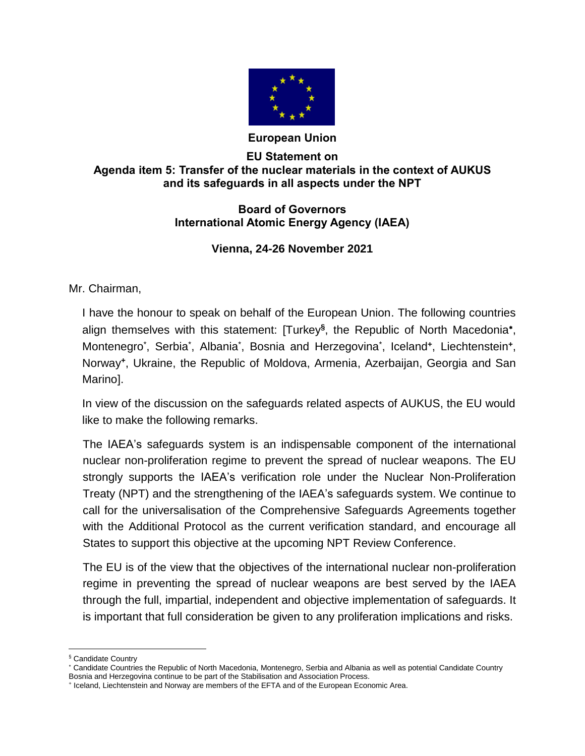

## **European Union**

## **EU Statement on Agenda item 5: Transfer of the nuclear materials in the context of AUKUS and its safeguards in all aspects under the NPT**

## **Board of Governors International Atomic Energy Agency (IAEA)**

## **Vienna, 24-26 November 2021**

Mr. Chairman,

I have the honour to speak on behalf of the European Union. The following countries align themselves with this statement: [Turkey**§** , the Republic of North Macedonia , Montenegro<sup>\*</sup>, Serbia<sup>\*</sup>, Albania<sup>\*</sup>, Bosnia and Herzegovina<sup>\*</sup>, Iceland<sup>+</sup>, Liechtenstein<sup>+</sup>, Norway**<sup>+</sup>** , Ukraine, the Republic of Moldova, Armenia, Azerbaijan, Georgia and San Marino].

In view of the discussion on the safeguards related aspects of AUKUS, the EU would like to make the following remarks.

The IAEA's safeguards system is an indispensable component of the international nuclear non-proliferation regime to prevent the spread of nuclear weapons. The EU strongly supports the IAEA's verification role under the Nuclear Non-Proliferation Treaty (NPT) and the strengthening of the IAEA's safeguards system. We continue to call for the universalisation of the Comprehensive Safeguards Agreements together with the Additional Protocol as the current verification standard, and encourage all States to support this objective at the upcoming NPT Review Conference.

The EU is of the view that the objectives of the international nuclear non-proliferation regime in preventing the spread of nuclear weapons are best served by the IAEA through the full, impartial, independent and objective implementation of safeguards. It is important that full consideration be given to any proliferation implications and risks.

 $\overline{a}$ 

<sup>§</sup> Candidate Country

Candidate Countries the Republic of North Macedonia, Montenegro, Serbia and Albania as well as potential Candidate Country Bosnia and Herzegovina continue to be part of the Stabilisation and Association Process.

<sup>+</sup> Iceland, Liechtenstein and Norway are members of the EFTA and of the European Economic Area.